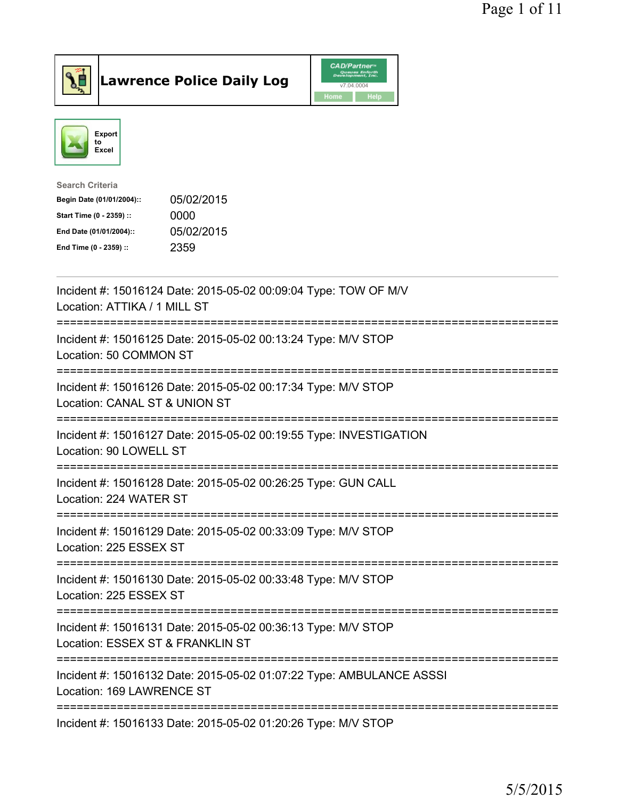



| Search Criteria           |            |
|---------------------------|------------|
| Begin Date (01/01/2004):: | 05/02/2015 |
| Start Time (0 - 2359) ::  | 0000       |
| End Date (01/01/2004)::   | 05/02/2015 |
| End Time (0 - 2359) ::    | 2359       |

| Incident #: 15016124 Date: 2015-05-02 00:09:04 Type: TOW OF M/V<br>Location: ATTIKA / 1 MILL ST                             |
|-----------------------------------------------------------------------------------------------------------------------------|
| Incident #: 15016125 Date: 2015-05-02 00:13:24 Type: M/V STOP<br>Location: 50 COMMON ST<br>. _ _ _ _ _ _ _ _ _ _ _ _ _ _ _  |
| Incident #: 15016126 Date: 2015-05-02 00:17:34 Type: M/V STOP<br>Location: CANAL ST & UNION ST                              |
| Incident #: 15016127 Date: 2015-05-02 00:19:55 Type: INVESTIGATION<br>Location: 90 LOWELL ST<br><u> :==================</u> |
| Incident #: 15016128 Date: 2015-05-02 00:26:25 Type: GUN CALL<br>Location: 224 WATER ST                                     |
| Incident #: 15016129 Date: 2015-05-02 00:33:09 Type: M/V STOP<br>Location: 225 ESSEX ST                                     |
| Incident #: 15016130 Date: 2015-05-02 00:33:48 Type: M/V STOP<br>Location: 225 ESSEX ST                                     |
| Incident #: 15016131 Date: 2015-05-02 00:36:13 Type: M/V STOP<br>Location: ESSEX ST & FRANKLIN ST                           |
| Incident #: 15016132 Date: 2015-05-02 01:07:22 Type: AMBULANCE ASSSI<br>Location: 169 LAWRENCE ST                           |
| Incident #: 15016133 Date: 2015-05-02 01:20:26 Type: M/V STOP                                                               |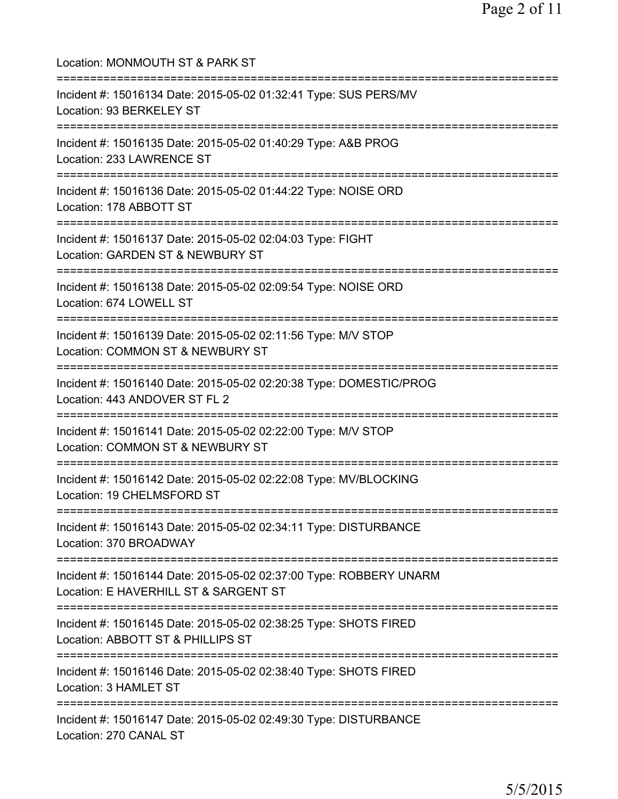Location: MONMOUTH ST & PARK ST =========================================================================== Incident #: 15016134 Date: 2015-05-02 01:32:41 Type: SUS PERS/MV Location: 93 BERKELEY ST =========================================================================== Incident #: 15016135 Date: 2015-05-02 01:40:29 Type: A&B PROG Location: 233 LAWRENCE ST =========================================================================== Incident #: 15016136 Date: 2015-05-02 01:44:22 Type: NOISE ORD Location: 178 ABBOTT ST =========================================================================== Incident #: 15016137 Date: 2015-05-02 02:04:03 Type: FIGHT Location: GARDEN ST & NEWBURY ST =========================================================================== Incident #: 15016138 Date: 2015-05-02 02:09:54 Type: NOISE ORD Location: 674 LOWELL ST =========================================================================== Incident #: 15016139 Date: 2015-05-02 02:11:56 Type: M/V STOP Location: COMMON ST & NEWBURY ST =========================================================================== Incident #: 15016140 Date: 2015-05-02 02:20:38 Type: DOMESTIC/PROG Location: 443 ANDOVER ST FL 2 =========================================================================== Incident #: 15016141 Date: 2015-05-02 02:22:00 Type: M/V STOP Location: COMMON ST & NEWBURY ST =========================================================================== Incident #: 15016142 Date: 2015-05-02 02:22:08 Type: MV/BLOCKING Location: 19 CHELMSFORD ST =========================================================================== Incident #: 15016143 Date: 2015-05-02 02:34:11 Type: DISTURBANCE Location: 370 BROADWAY =========================================================================== Incident #: 15016144 Date: 2015-05-02 02:37:00 Type: ROBBERY UNARM Location: E HAVERHILL ST & SARGENT ST =========================================================================== Incident #: 15016145 Date: 2015-05-02 02:38:25 Type: SHOTS FIRED Location: ABBOTT ST & PHILLIPS ST =========================================================================== Incident #: 15016146 Date: 2015-05-02 02:38:40 Type: SHOTS FIRED Location: 3 HAMLET ST =========================================================================== Incident #: 15016147 Date: 2015-05-02 02:49:30 Type: DISTURBANCE Location: 270 CANAL ST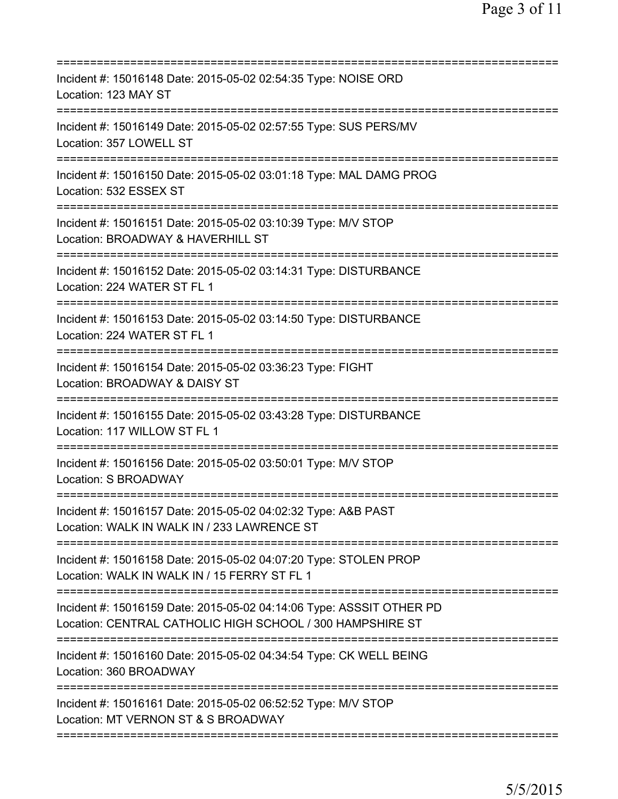| Incident #: 15016148 Date: 2015-05-02 02:54:35 Type: NOISE ORD<br>Location: 123 MAY ST                                                 |
|----------------------------------------------------------------------------------------------------------------------------------------|
| Incident #: 15016149 Date: 2015-05-02 02:57:55 Type: SUS PERS/MV<br>Location: 357 LOWELL ST                                            |
| Incident #: 15016150 Date: 2015-05-02 03:01:18 Type: MAL DAMG PROG<br>Location: 532 ESSEX ST                                           |
| Incident #: 15016151 Date: 2015-05-02 03:10:39 Type: M/V STOP<br>Location: BROADWAY & HAVERHILL ST<br>================================ |
| Incident #: 15016152 Date: 2015-05-02 03:14:31 Type: DISTURBANCE<br>Location: 224 WATER ST FL 1                                        |
| Incident #: 15016153 Date: 2015-05-02 03:14:50 Type: DISTURBANCE<br>Location: 224 WATER ST FL 1                                        |
| Incident #: 15016154 Date: 2015-05-02 03:36:23 Type: FIGHT<br>Location: BROADWAY & DAISY ST<br>----------------------                  |
| Incident #: 15016155 Date: 2015-05-02 03:43:28 Type: DISTURBANCE<br>Location: 117 WILLOW ST FL 1<br>======================             |
| Incident #: 15016156 Date: 2015-05-02 03:50:01 Type: M/V STOP<br><b>Location: S BROADWAY</b>                                           |
| Incident #: 15016157 Date: 2015-05-02 04:02:32 Type: A&B PAST<br>Location: WALK IN WALK IN / 233 LAWRENCE ST                           |
| Incident #: 15016158 Date: 2015-05-02 04:07:20 Type: STOLEN PROP<br>Location: WALK IN WALK IN / 15 FERRY ST FL 1                       |
| Incident #: 15016159 Date: 2015-05-02 04:14:06 Type: ASSSIT OTHER PD<br>Location: CENTRAL CATHOLIC HIGH SCHOOL / 300 HAMPSHIRE ST      |
| Incident #: 15016160 Date: 2015-05-02 04:34:54 Type: CK WELL BEING<br>Location: 360 BROADWAY                                           |
| Incident #: 15016161 Date: 2015-05-02 06:52:52 Type: M/V STOP<br>Location: MT VERNON ST & S BROADWAY                                   |
|                                                                                                                                        |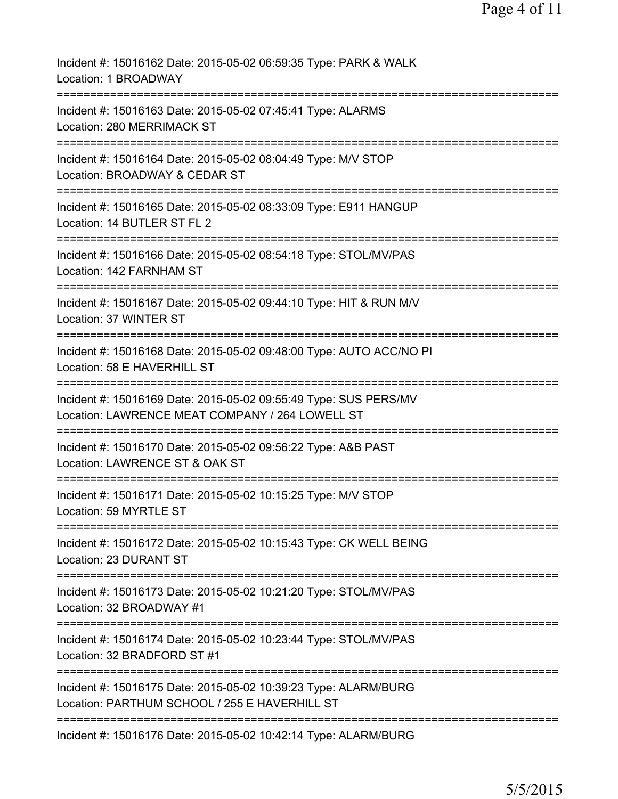| Incident #: 15016162 Date: 2015-05-02 06:59:35 Type: PARK & WALK<br>Location: 1 BROADWAY                            |
|---------------------------------------------------------------------------------------------------------------------|
| Incident #: 15016163 Date: 2015-05-02 07:45:41 Type: ALARMS<br>Location: 280 MERRIMACK ST                           |
| Incident #: 15016164 Date: 2015-05-02 08:04:49 Type: M/V STOP<br>Location: BROADWAY & CEDAR ST                      |
| Incident #: 15016165 Date: 2015-05-02 08:33:09 Type: E911 HANGUP<br>Location: 14 BUTLER ST FL 2                     |
| Incident #: 15016166 Date: 2015-05-02 08:54:18 Type: STOL/MV/PAS<br>Location: 142 FARNHAM ST                        |
| Incident #: 15016167 Date: 2015-05-02 09:44:10 Type: HIT & RUN M/V<br>Location: 37 WINTER ST                        |
| Incident #: 15016168 Date: 2015-05-02 09:48:00 Type: AUTO ACC/NO PI<br>Location: 58 E HAVERHILL ST                  |
| Incident #: 15016169 Date: 2015-05-02 09:55:49 Type: SUS PERS/MV<br>Location: LAWRENCE MEAT COMPANY / 264 LOWELL ST |
| Incident #: 15016170 Date: 2015-05-02 09:56:22 Type: A&B PAST<br>Location: LAWRENCE ST & OAK ST                     |
| Incident #: 15016171 Date: 2015-05-02 10:15:25 Type: M/V STOP<br>Location: 59 MYRTLE ST                             |
| Incident #: 15016172 Date: 2015-05-02 10:15:43 Type: CK WELL BEING<br>Location: 23 DURANT ST                        |
| Incident #: 15016173 Date: 2015-05-02 10:21:20 Type: STOL/MV/PAS<br>Location: 32 BROADWAY #1                        |
| Incident #: 15016174 Date: 2015-05-02 10:23:44 Type: STOL/MV/PAS<br>Location: 32 BRADFORD ST #1                     |
| Incident #: 15016175 Date: 2015-05-02 10:39:23 Type: ALARM/BURG<br>Location: PARTHUM SCHOOL / 255 E HAVERHILL ST    |
| =================================<br>Incident #: 15016176 Date: 2015-05-02 10:42:14 Type: ALARM/BURG                |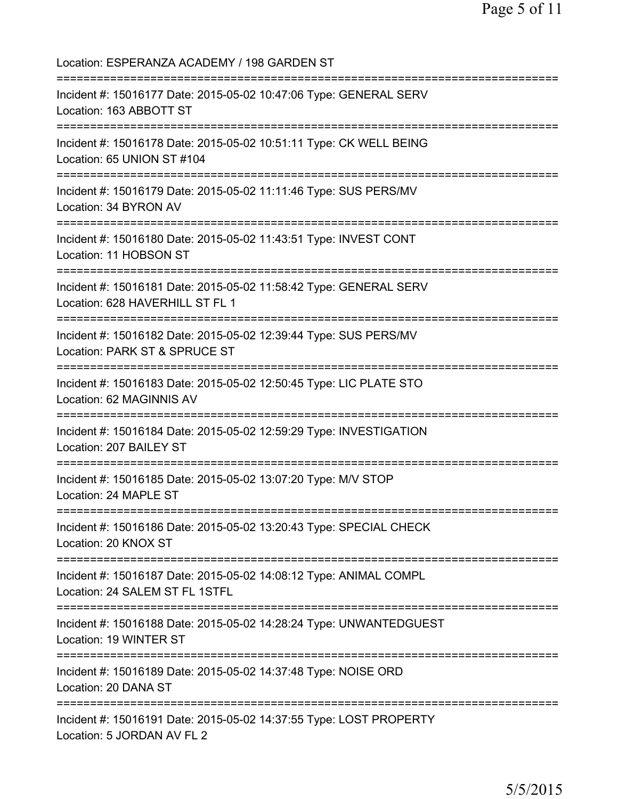Location: ESPERANZA ACADEMY / 198 GARDEN ST =========================================================================== Incident #: 15016177 Date: 2015-05-02 10:47:06 Type: GENERAL SERV Location: 163 ABBOTT ST =========================================================================== Incident #: 15016178 Date: 2015-05-02 10:51:11 Type: CK WELL BEING Location: 65 UNION ST #104 =========================================================================== Incident #: 15016179 Date: 2015-05-02 11:11:46 Type: SUS PERS/MV Location: 34 BYRON AV =========================================================================== Incident #: 15016180 Date: 2015-05-02 11:43:51 Type: INVEST CONT Location: 11 HOBSON ST =========================================================================== Incident #: 15016181 Date: 2015-05-02 11:58:42 Type: GENERAL SERV Location: 628 HAVERHILL ST FL 1 =========================================================================== Incident #: 15016182 Date: 2015-05-02 12:39:44 Type: SUS PERS/MV Location: PARK ST & SPRUCE ST =========================================================================== Incident #: 15016183 Date: 2015-05-02 12:50:45 Type: LIC PLATE STO Location: 62 MAGINNIS AV =========================================================================== Incident #: 15016184 Date: 2015-05-02 12:59:29 Type: INVESTIGATION Location: 207 BAILEY ST =========================================================================== Incident #: 15016185 Date: 2015-05-02 13:07:20 Type: M/V STOP Location: 24 MAPLE ST =========================================================================== Incident #: 15016186 Date: 2015-05-02 13:20:43 Type: SPECIAL CHECK Location: 20 KNOX ST =========================================================================== Incident #: 15016187 Date: 2015-05-02 14:08:12 Type: ANIMAL COMPL Location: 24 SALEM ST FL 1STFL =========================================================================== Incident #: 15016188 Date: 2015-05-02 14:28:24 Type: UNWANTEDGUEST Location: 19 WINTER ST =========================================================================== Incident #: 15016189 Date: 2015-05-02 14:37:48 Type: NOISE ORD Location: 20 DANA ST =========================================================================== Incident #: 15016191 Date: 2015-05-02 14:37:55 Type: LOST PROPERTY Location: 5 JORDAN AV FL 2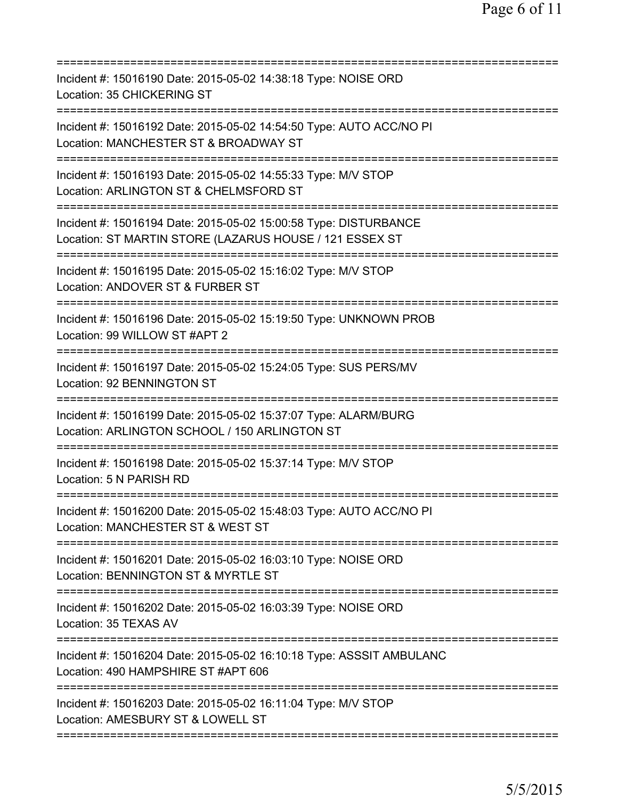| Incident #: 15016190 Date: 2015-05-02 14:38:18 Type: NOISE ORD<br>Location: 35 CHICKERING ST<br>==================                                |
|---------------------------------------------------------------------------------------------------------------------------------------------------|
| Incident #: 15016192 Date: 2015-05-02 14:54:50 Type: AUTO ACC/NO PI<br>Location: MANCHESTER ST & BROADWAY ST                                      |
| Incident #: 15016193 Date: 2015-05-02 14:55:33 Type: M/V STOP<br>Location: ARLINGTON ST & CHELMSFORD ST                                           |
| Incident #: 15016194 Date: 2015-05-02 15:00:58 Type: DISTURBANCE<br>Location: ST MARTIN STORE (LAZARUS HOUSE / 121 ESSEX ST                       |
| ============================<br>Incident #: 15016195 Date: 2015-05-02 15:16:02 Type: M/V STOP<br>Location: ANDOVER ST & FURBER ST                 |
| =========================<br>Incident #: 15016196 Date: 2015-05-02 15:19:50 Type: UNKNOWN PROB<br>Location: 99 WILLOW ST #APT 2                   |
| Incident #: 15016197 Date: 2015-05-02 15:24:05 Type: SUS PERS/MV<br>Location: 92 BENNINGTON ST<br>:=============                                  |
| Incident #: 15016199 Date: 2015-05-02 15:37:07 Type: ALARM/BURG<br>Location: ARLINGTON SCHOOL / 150 ARLINGTON ST<br>============================= |
| Incident #: 15016198 Date: 2015-05-02 15:37:14 Type: M/V STOP<br>Location: 5 N PARISH RD                                                          |
| Incident #: 15016200 Date: 2015-05-02 15:48:03 Type: AUTO ACC/NO PI<br>Location: MANCHESTER ST & WEST ST                                          |
| Incident #: 15016201 Date: 2015-05-02 16:03:10 Type: NOISE ORD<br>Location: BENNINGTON ST & MYRTLE ST                                             |
| Incident #: 15016202 Date: 2015-05-02 16:03:39 Type: NOISE ORD<br>Location: 35 TEXAS AV                                                           |
| Incident #: 15016204 Date: 2015-05-02 16:10:18 Type: ASSSIT AMBULANC<br>Location: 490 HAMPSHIRE ST #APT 606<br>============================       |
| Incident #: 15016203 Date: 2015-05-02 16:11:04 Type: M/V STOP<br>Location: AMESBURY ST & LOWELL ST                                                |
|                                                                                                                                                   |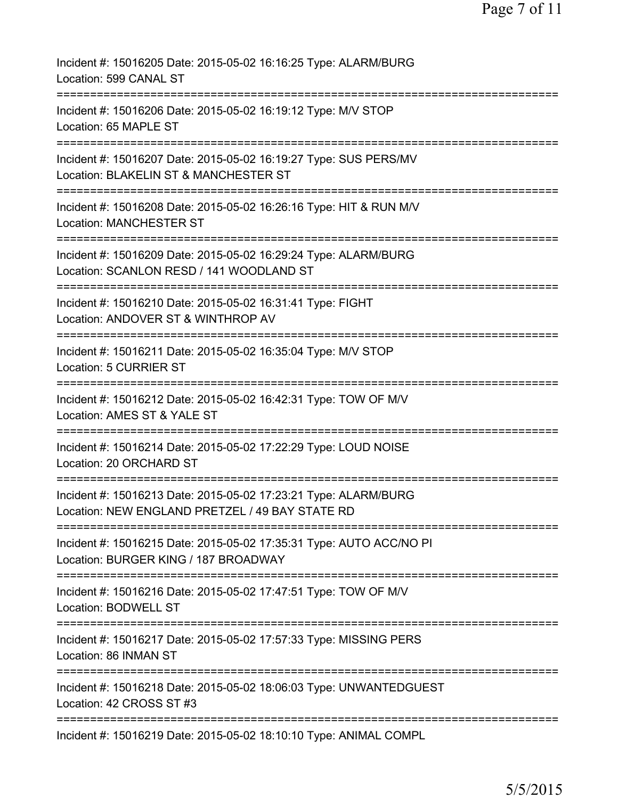| Incident #: 15016205 Date: 2015-05-02 16:16:25 Type: ALARM/BURG<br>Location: 599 CANAL ST                                  |
|----------------------------------------------------------------------------------------------------------------------------|
| Incident #: 15016206 Date: 2015-05-02 16:19:12 Type: M/V STOP<br>Location: 65 MAPLE ST                                     |
| Incident #: 15016207 Date: 2015-05-02 16:19:27 Type: SUS PERS/MV<br>Location: BLAKELIN ST & MANCHESTER ST                  |
| Incident #: 15016208 Date: 2015-05-02 16:26:16 Type: HIT & RUN M/V<br><b>Location: MANCHESTER ST</b>                       |
| Incident #: 15016209 Date: 2015-05-02 16:29:24 Type: ALARM/BURG<br>Location: SCANLON RESD / 141 WOODLAND ST                |
| Incident #: 15016210 Date: 2015-05-02 16:31:41 Type: FIGHT<br>Location: ANDOVER ST & WINTHROP AV                           |
| Incident #: 15016211 Date: 2015-05-02 16:35:04 Type: M/V STOP<br><b>Location: 5 CURRIER ST</b>                             |
| ========================<br>Incident #: 15016212 Date: 2015-05-02 16:42:31 Type: TOW OF M/V<br>Location: AMES ST & YALE ST |
| ==============<br>Incident #: 15016214 Date: 2015-05-02 17:22:29 Type: LOUD NOISE<br>Location: 20 ORCHARD ST               |
| Incident #: 15016213 Date: 2015-05-02 17:23:21 Type: ALARM/BURG<br>Location: NEW ENGLAND PRETZEL / 49 BAY STATE RD         |
| Incident #: 15016215 Date: 2015-05-02 17:35:31 Type: AUTO ACC/NO PI<br>Location: BURGER KING / 187 BROADWAY                |
| Incident #: 15016216 Date: 2015-05-02 17:47:51 Type: TOW OF M/V<br>Location: BODWELL ST                                    |
| Incident #: 15016217 Date: 2015-05-02 17:57:33 Type: MISSING PERS<br>Location: 86 INMAN ST                                 |
| Incident #: 15016218 Date: 2015-05-02 18:06:03 Type: UNWANTEDGUEST<br>Location: 42 CROSS ST #3                             |
| Incident #: 15016219 Date: 2015-05-02 18:10:10 Type: ANIMAL COMPL                                                          |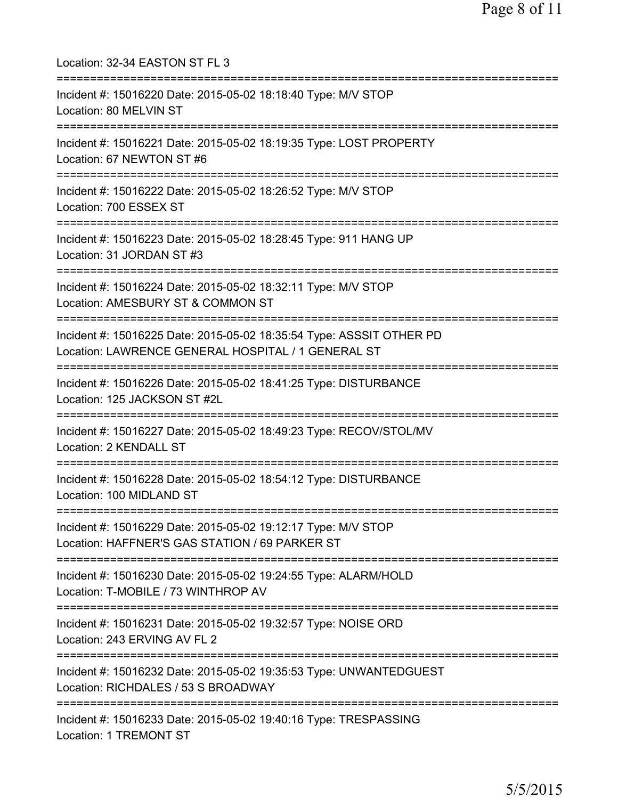| Location: 32-34 EASTON ST FL 3                                                                                                                                     |
|--------------------------------------------------------------------------------------------------------------------------------------------------------------------|
| Incident #: 15016220 Date: 2015-05-02 18:18:40 Type: M/V STOP<br>Location: 80 MELVIN ST                                                                            |
| Incident #: 15016221 Date: 2015-05-02 18:19:35 Type: LOST PROPERTY<br>Location: 67 NEWTON ST #6                                                                    |
| Incident #: 15016222 Date: 2015-05-02 18:26:52 Type: M/V STOP<br>Location: 700 ESSEX ST                                                                            |
| Incident #: 15016223 Date: 2015-05-02 18:28:45 Type: 911 HANG UP<br>Location: 31 JORDAN ST #3<br>================================                                  |
| Incident #: 15016224 Date: 2015-05-02 18:32:11 Type: M/V STOP<br>Location: AMESBURY ST & COMMON ST<br>-------------------------                                    |
| Incident #: 15016225 Date: 2015-05-02 18:35:54 Type: ASSSIT OTHER PD<br>Location: LAWRENCE GENERAL HOSPITAL / 1 GENERAL ST<br>==================================== |
| Incident #: 15016226 Date: 2015-05-02 18:41:25 Type: DISTURBANCE<br>Location: 125 JACKSON ST #2L                                                                   |
| Incident #: 15016227 Date: 2015-05-02 18:49:23 Type: RECOV/STOL/MV<br><b>Location: 2 KENDALL ST</b>                                                                |
| Incident #: 15016228 Date: 2015-05-02 18:54:12 Type: DISTURBANCE<br>Location: 100 MIDLAND ST                                                                       |
| Incident #: 15016229 Date: 2015-05-02 19:12:17 Type: M/V STOP<br>Location: HAFFNER'S GAS STATION / 69 PARKER ST                                                    |
| Incident #: 15016230 Date: 2015-05-02 19:24:55 Type: ALARM/HOLD<br>Location: T-MOBILE / 73 WINTHROP AV                                                             |
| Incident #: 15016231 Date: 2015-05-02 19:32:57 Type: NOISE ORD<br>Location: 243 ERVING AV FL 2                                                                     |
| Incident #: 15016232 Date: 2015-05-02 19:35:53 Type: UNWANTEDGUEST<br>Location: RICHDALES / 53 S BROADWAY                                                          |
| Incident #: 15016233 Date: 2015-05-02 19:40:16 Type: TRESPASSING<br>Location: 1 TREMONT ST                                                                         |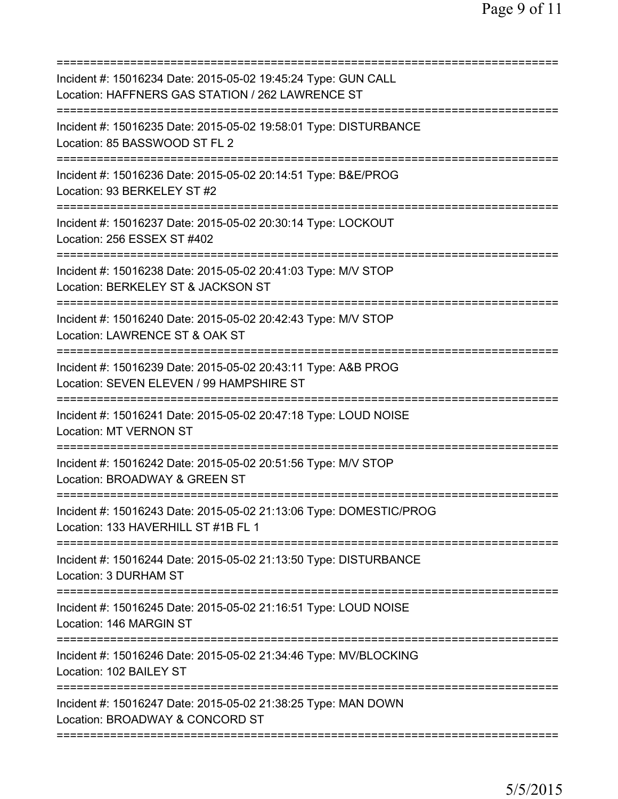| Incident #: 15016234 Date: 2015-05-02 19:45:24 Type: GUN CALL<br>Location: HAFFNERS GAS STATION / 262 LAWRENCE ST |
|-------------------------------------------------------------------------------------------------------------------|
| Incident #: 15016235 Date: 2015-05-02 19:58:01 Type: DISTURBANCE<br>Location: 85 BASSWOOD ST FL 2                 |
| Incident #: 15016236 Date: 2015-05-02 20:14:51 Type: B&E/PROG<br>Location: 93 BERKELEY ST #2                      |
| Incident #: 15016237 Date: 2015-05-02 20:30:14 Type: LOCKOUT<br>Location: 256 ESSEX ST #402                       |
| Incident #: 15016238 Date: 2015-05-02 20:41:03 Type: M/V STOP<br>Location: BERKELEY ST & JACKSON ST               |
| Incident #: 15016240 Date: 2015-05-02 20:42:43 Type: M/V STOP<br>Location: LAWRENCE ST & OAK ST                   |
| Incident #: 15016239 Date: 2015-05-02 20:43:11 Type: A&B PROG<br>Location: SEVEN ELEVEN / 99 HAMPSHIRE ST         |
| Incident #: 15016241 Date: 2015-05-02 20:47:18 Type: LOUD NOISE<br><b>Location: MT VERNON ST</b>                  |
| Incident #: 15016242 Date: 2015-05-02 20:51:56 Type: M/V STOP<br>Location: BROADWAY & GREEN ST                    |
| Incident #: 15016243 Date: 2015-05-02 21:13:06 Type: DOMESTIC/PROG<br>Location: 133 HAVERHILL ST #1B FL 1         |
| Incident #: 15016244 Date: 2015-05-02 21:13:50 Type: DISTURBANCE<br>Location: 3 DURHAM ST                         |
| Incident #: 15016245 Date: 2015-05-02 21:16:51 Type: LOUD NOISE<br>Location: 146 MARGIN ST                        |
| Incident #: 15016246 Date: 2015-05-02 21:34:46 Type: MV/BLOCKING<br>Location: 102 BAILEY ST                       |
| Incident #: 15016247 Date: 2015-05-02 21:38:25 Type: MAN DOWN<br>Location: BROADWAY & CONCORD ST                  |
|                                                                                                                   |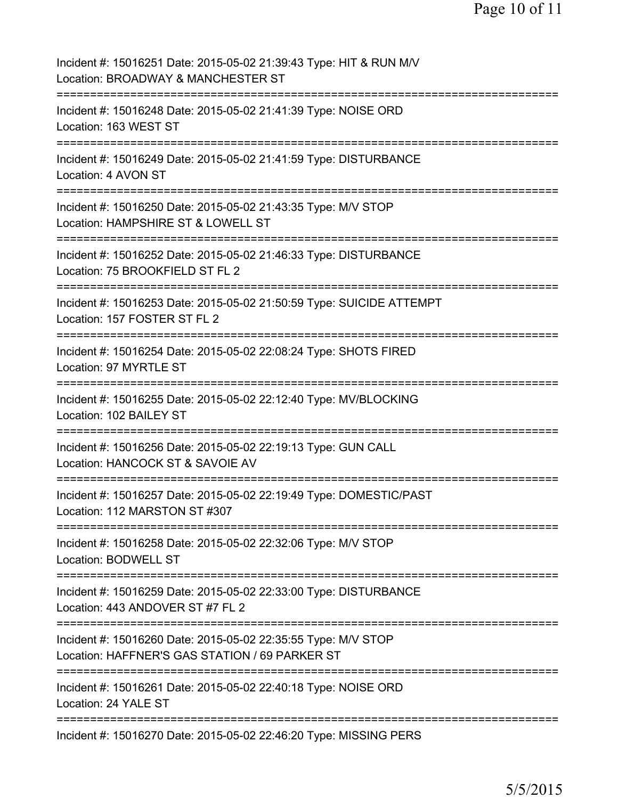| Incident #: 15016251 Date: 2015-05-02 21:39:43 Type: HIT & RUN M/V<br>Location: BROADWAY & MANCHESTER ST        |
|-----------------------------------------------------------------------------------------------------------------|
| Incident #: 15016248 Date: 2015-05-02 21:41:39 Type: NOISE ORD<br>Location: 163 WEST ST                         |
| Incident #: 15016249 Date: 2015-05-02 21:41:59 Type: DISTURBANCE<br>Location: 4 AVON ST                         |
| Incident #: 15016250 Date: 2015-05-02 21:43:35 Type: M/V STOP<br>Location: HAMPSHIRE ST & LOWELL ST             |
| Incident #: 15016252 Date: 2015-05-02 21:46:33 Type: DISTURBANCE<br>Location: 75 BROOKFIELD ST FL 2             |
| Incident #: 15016253 Date: 2015-05-02 21:50:59 Type: SUICIDE ATTEMPT<br>Location: 157 FOSTER ST FL 2            |
| Incident #: 15016254 Date: 2015-05-02 22:08:24 Type: SHOTS FIRED<br>Location: 97 MYRTLE ST<br>:=============    |
| Incident #: 15016255 Date: 2015-05-02 22:12:40 Type: MV/BLOCKING<br>Location: 102 BAILEY ST                     |
| Incident #: 15016256 Date: 2015-05-02 22:19:13 Type: GUN CALL<br>Location: HANCOCK ST & SAVOIE AV               |
| Incident #: 15016257 Date: 2015-05-02 22:19:49 Type: DOMESTIC/PAST<br>Location: 112 MARSTON ST #307             |
| Incident #: 15016258 Date: 2015-05-02 22:32:06 Type: M/V STOP<br>Location: BODWELL ST                           |
| Incident #: 15016259 Date: 2015-05-02 22:33:00 Type: DISTURBANCE<br>Location: 443 ANDOVER ST #7 FL 2            |
| Incident #: 15016260 Date: 2015-05-02 22:35:55 Type: M/V STOP<br>Location: HAFFNER'S GAS STATION / 69 PARKER ST |
| Incident #: 15016261 Date: 2015-05-02 22:40:18 Type: NOISE ORD<br>Location: 24 YALE ST                          |
| Incident #: 15016270 Date: 2015-05-02 22:46:20 Type: MISSING PERS                                               |